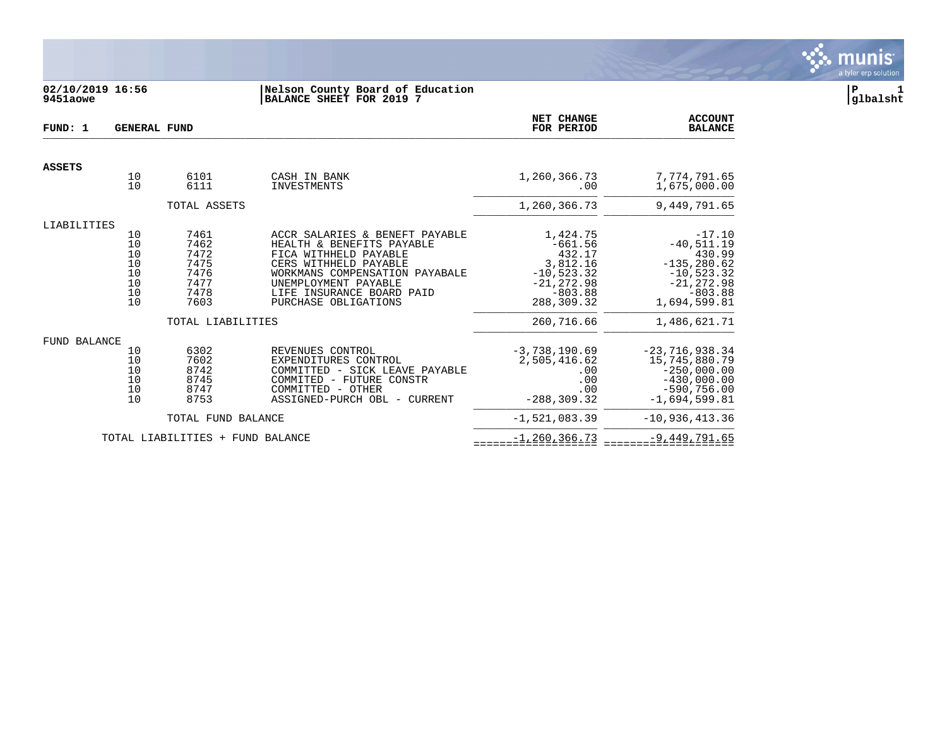

### **02/10/2019 16:56 |Nelson County Board of Education |P 1 9451aowe |BALANCE SHEET FOR 2019 7 |glbalsht**

| FUND: 1             | <b>GENERAL FUND</b>                                                         |                                                              | NET CHANGE<br>FOR PERIOD                                                                                                                                                                                                     | <b>ACCOUNT</b><br><b>BALANCE</b>                                                                        |                                                                                                                    |
|---------------------|-----------------------------------------------------------------------------|--------------------------------------------------------------|------------------------------------------------------------------------------------------------------------------------------------------------------------------------------------------------------------------------------|---------------------------------------------------------------------------------------------------------|--------------------------------------------------------------------------------------------------------------------|
| <b>ASSETS</b>       |                                                                             |                                                              |                                                                                                                                                                                                                              |                                                                                                         |                                                                                                                    |
|                     | 10<br>10                                                                    | 6101<br>6111                                                 | CASH IN BANK<br>INVESTMENTS                                                                                                                                                                                                  | 1,260,366.73<br>.00                                                                                     | 7,774,791.65<br>1,675,000.00                                                                                       |
|                     |                                                                             | TOTAL ASSETS                                                 |                                                                                                                                                                                                                              | 1,260,366.73                                                                                            | 9,449,791.65                                                                                                       |
| LIABILITIES         |                                                                             |                                                              |                                                                                                                                                                                                                              |                                                                                                         |                                                                                                                    |
|                     | 10<br>10<br>$\begin{array}{c} 10 \\ 10 \end{array}$<br>10<br>10<br>10<br>10 | 7461<br>7462<br>7472<br>7475<br>7476<br>7477<br>7478<br>7603 | ACCR SALARIES & BENEFT PAYABLE<br>HEALTH & BENEFITS PAYABLE<br>FICA WITHHELD PAYABLE<br>CERS WITHHELD PAYABLE<br>WORKMANS COMPENSATION PAYABALE<br>UNEMPLOYMENT PAYABLE<br>LIFE INSURANCE BOARD PAID<br>PURCHASE OBLIGATIONS | 1,424.75<br>$-661.56$<br>432.17<br>3,812.16<br>$-10,523.32$<br>$-21, 272.98$<br>$-803.88$<br>288,309.32 | $-17.10$<br>$-40,511.19$<br>430.99<br>$-135, 280.62$<br>$-10,523.32$<br>$-21, 272.98$<br>$-803.88$<br>1,694,599.81 |
|                     |                                                                             | TOTAL LIABILITIES                                            |                                                                                                                                                                                                                              | 260,716.66                                                                                              | 1,486,621.71                                                                                                       |
| <b>FUND BALANCE</b> |                                                                             |                                                              |                                                                                                                                                                                                                              |                                                                                                         |                                                                                                                    |
|                     | 10<br>10<br>10<br>10<br>10<br>10                                            | 6302<br>7602<br>8742<br>8745<br>8747<br>8753                 | REVENUES CONTROL<br>EXPENDITURES CONTROL<br>COMMITTED - SICK LEAVE PAYABLE<br>COMMITED - FUTURE CONSTR<br>COMMITTED - OTHER<br>ASSIGNED-PURCH OBL - CURRENT                                                                  | $-3,738,190.69$<br>2,505,416.62<br>.00<br>.00<br>.00<br>$-288, 309.32$                                  | $-23,716,938.34$<br>15,745,880.79<br>$-250,000.00$<br>$-430,000.00$<br>$-590,756.00$<br>$-1.694.599.81$            |
|                     |                                                                             | TOTAL FUND BALANCE                                           |                                                                                                                                                                                                                              | $-1,521,083.39$                                                                                         | $-10,936,413.36$                                                                                                   |
|                     |                                                                             | TOTAL LIABILITIES + FUND BALANCE                             |                                                                                                                                                                                                                              | $-1, 260, 366.73$                                                                                       | $-9,449,791.65$                                                                                                    |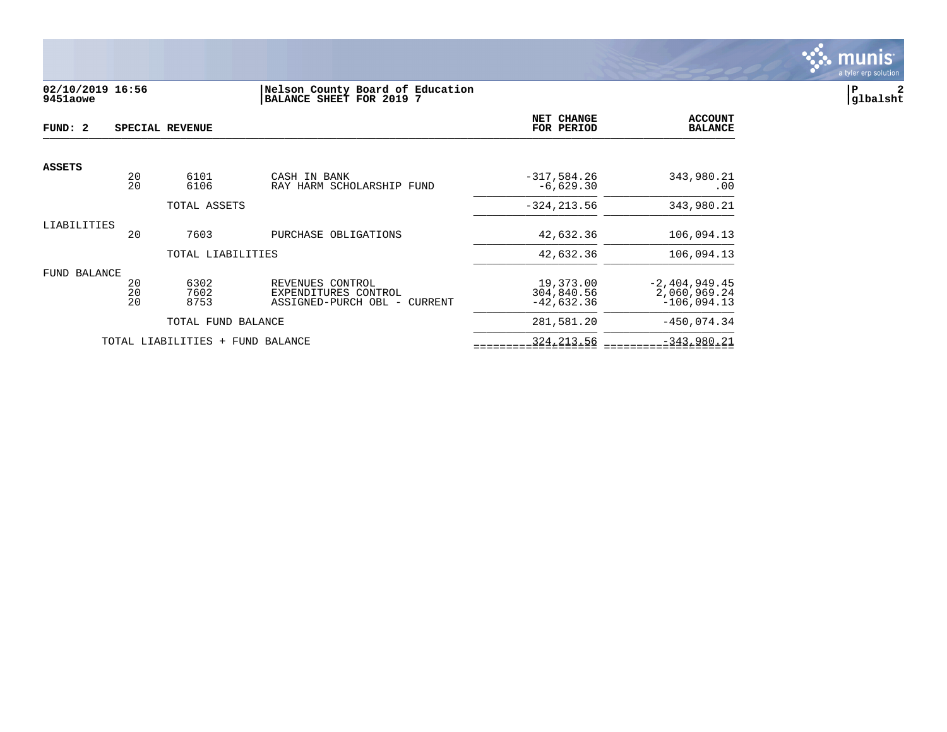

# **02/10/2019 16:56 |Nelson County Board of Education |P 2 9451aowe |BALANCE SHEET FOR 2019 7 |glbalsht**

| FUND: 2       |                | SPECIAL REVENUE          |                                                                          | NET CHANGE<br>FOR PERIOD                | <b>ACCOUNT</b><br><b>BALANCE</b>                 |
|---------------|----------------|--------------------------|--------------------------------------------------------------------------|-----------------------------------------|--------------------------------------------------|
| <b>ASSETS</b> |                |                          |                                                                          |                                         |                                                  |
|               | 20<br>20       | 6101<br>6106             | CASH IN BANK<br>RAY HARM SCHOLARSHIP FUND                                | $-317,584.26$<br>$-6,629.30$            | 343,980.21<br>$.00 \,$                           |
|               |                | TOTAL ASSETS             |                                                                          | $-324, 213.56$                          | 343,980.21                                       |
| LIABILITIES   | 20             | 7603                     | PURCHASE OBLIGATIONS                                                     | 42,632.36                               | 106,094.13                                       |
|               |                | TOTAL LIABILITIES        |                                                                          | 42,632.36                               | 106,094.13                                       |
| FUND BALANCE  | 20<br>20<br>20 | 6302<br>7602<br>8753     | REVENUES CONTROL<br>EXPENDITURES CONTROL<br>ASSIGNED-PURCH OBL - CURRENT | 19,373.00<br>304,840.56<br>$-42,632.36$ | $-2,404,949.45$<br>2,060,969.24<br>$-106,094.13$ |
|               |                | TOTAL FUND BALANCE       |                                                                          | 281,581.20                              | $-450,074.34$                                    |
|               |                | TOTAL LIABILITIES<br>$+$ | FUND BALANCE                                                             | 324, 213.56                             | $-343,980.21$                                    |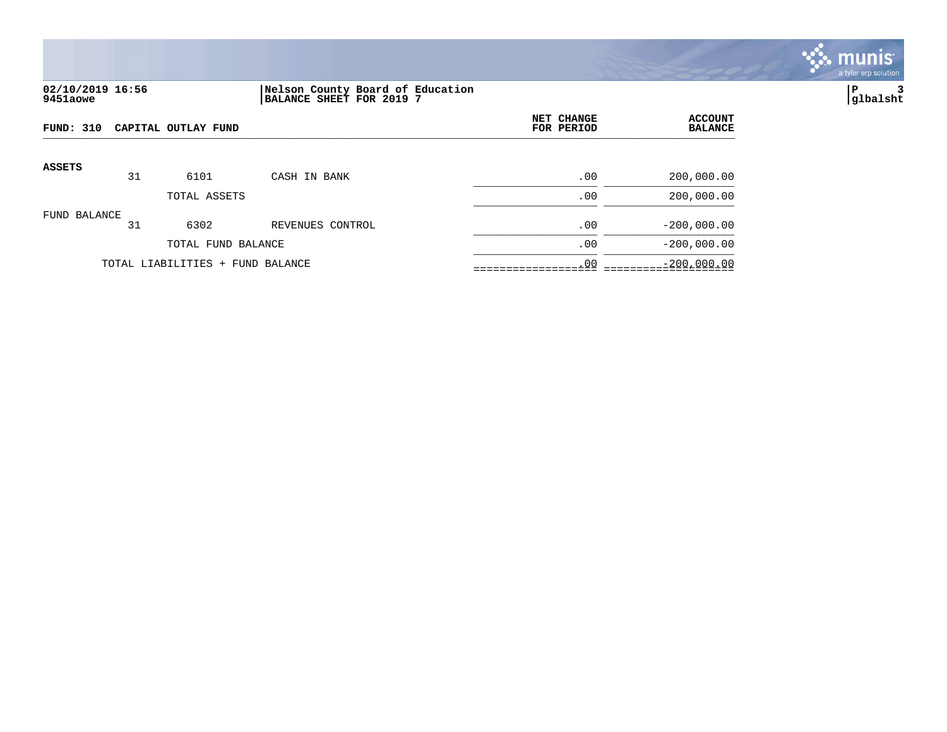

# **02/10/2019 16:56 |Nelson County Board of Education |P 3 9451aowe |BALANCE SHEET FOR 2019 7 |glbalsht**

| FUND: 310     |    | CAPITAL OUTLAY FUND              | NET CHANGE<br>FOR PERIOD | <b>ACCOUNT</b><br><b>BALANCE</b> |               |
|---------------|----|----------------------------------|--------------------------|----------------------------------|---------------|
| <b>ASSETS</b> |    |                                  |                          |                                  |               |
|               | 31 | 6101                             | CASH IN BANK             | .00                              | 200,000.00    |
|               |    | TOTAL ASSETS                     |                          | .00                              | 200,000.00    |
| FUND BALANCE  | 31 | 6302                             | REVENUES CONTROL         | .00                              | $-200,000.00$ |
|               |    | TOTAL FUND BALANCE               |                          | .00                              | $-200,000.00$ |
|               |    | TOTAL LIABILITIES + FUND BALANCE |                          | .00                              | $-200,000.00$ |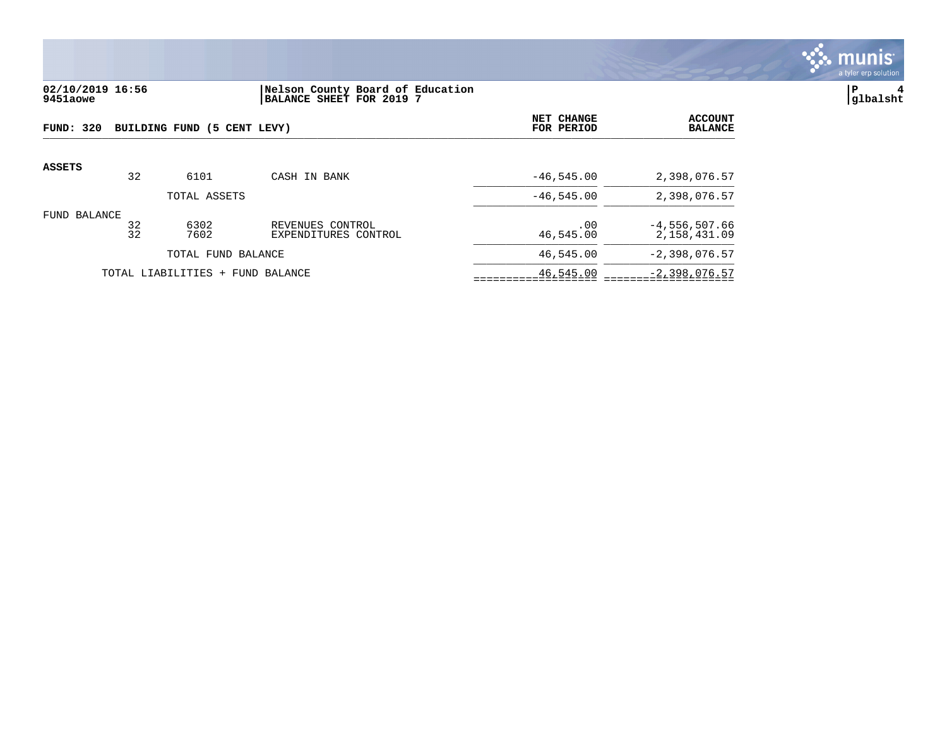

# **02/10/2019 16:56 |Nelson County Board of Education |P 4 9451aowe |BALANCE SHEET FOR 2019 7 |glbalsht**

| FUND: 320     |          | BUILDING FUND (5 CENT LEVY)      |                                          | NET CHANGE<br>FOR PERIOD | <b>ACCOUNT</b><br><b>BALANCE</b> |
|---------------|----------|----------------------------------|------------------------------------------|--------------------------|----------------------------------|
| <b>ASSETS</b> |          |                                  |                                          |                          |                                  |
|               | 32       | 6101                             | CASH IN BANK                             | $-46, 545.00$            | 2,398,076.57                     |
|               |          | TOTAL ASSETS                     |                                          | $-46, 545, 00$           | 2,398,076.57                     |
| FUND BALANCE  | 32<br>32 | 6302<br>7602                     | REVENUES CONTROL<br>EXPENDITURES CONTROL | .00<br>46,545.00         | $-4,556,507.66$<br>2,158,431.09  |
|               |          | TOTAL FUND BALANCE               |                                          | 46,545.00                | $-2,398,076.57$                  |
|               |          | TOTAL LIABILITIES + FUND BALANCE |                                          | 46,545.00                | $-2,398,076.57$                  |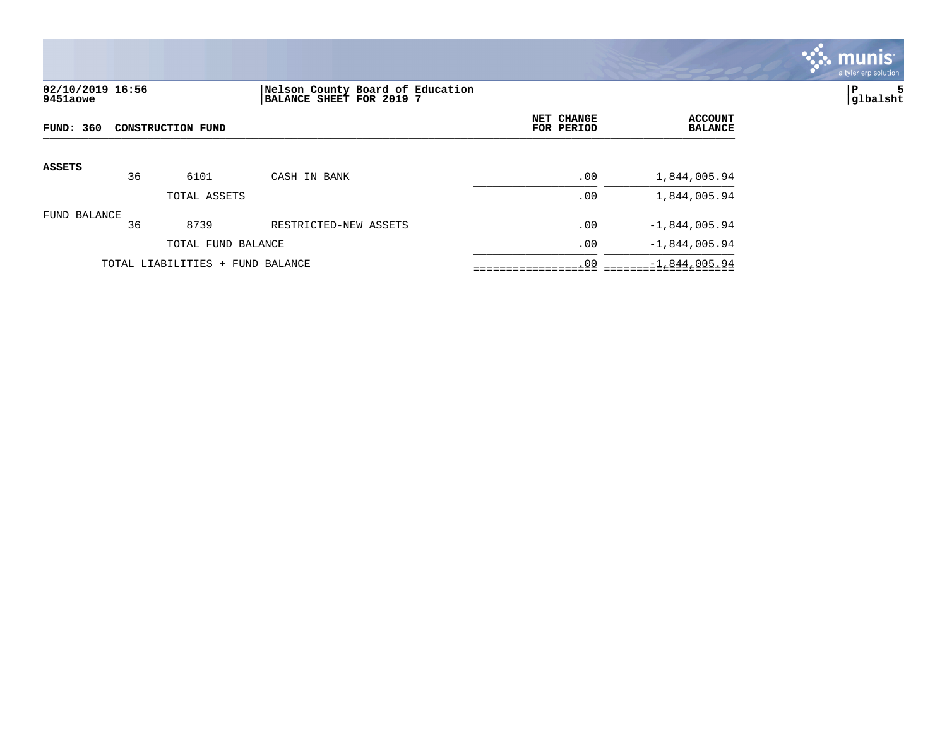

# **02/10/2019 16:56 |Nelson County Board of Education |P 5 9451aowe |BALANCE SHEET FOR 2019 7 |glbalsht**

| FUND: 360     |    | <b>CONSTRUCTION FUND</b>         |                       | <b>NET CHANGE</b><br>FOR PERIOD | <b>ACCOUNT</b><br><b>BALANCE</b> |
|---------------|----|----------------------------------|-----------------------|---------------------------------|----------------------------------|
| <b>ASSETS</b> | 36 | 6101                             | CASH IN BANK          | .00                             | 1,844,005.94                     |
|               |    | TOTAL ASSETS                     |                       | .00                             | 1,844,005.94                     |
| FUND BALANCE  | 36 | 8739                             | RESTRICTED-NEW ASSETS | .00                             | $-1,844,005.94$                  |
|               |    | TOTAL FUND BALANCE               |                       | .00                             | $-1,844,005.94$                  |
|               |    | TOTAL LIABILITIES + FUND BALANCE |                       | .00                             | $-1,844,005.94$                  |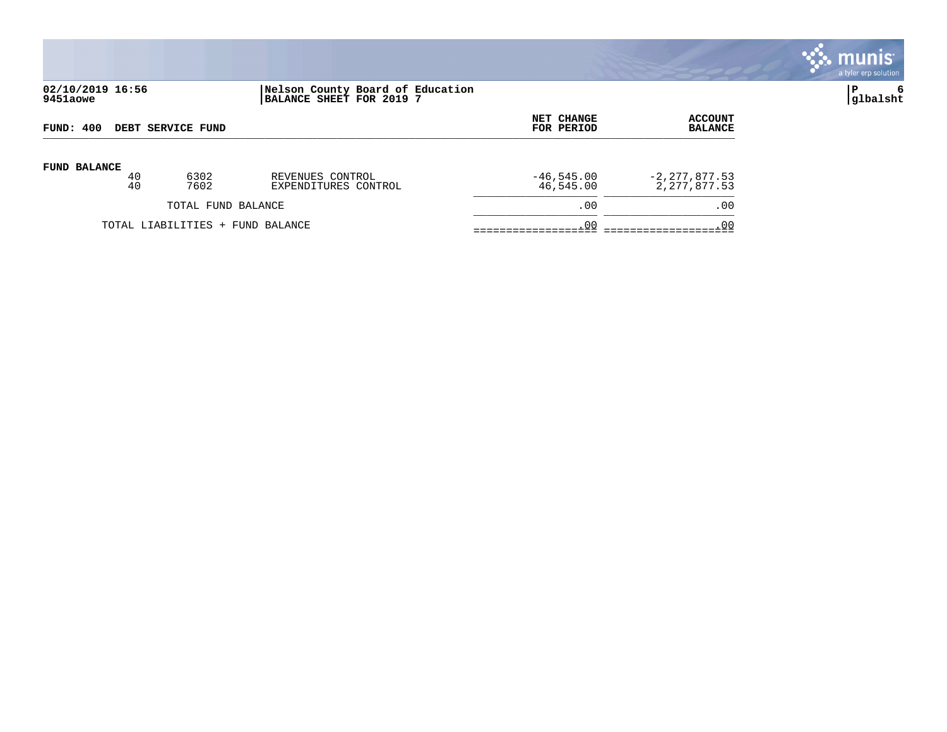

# **02/10/2019 16:56 |Nelson County Board of Education |P 6 9451aowe |BALANCE SHEET FOR 2019 7 |glbalsht**

| FUND: 400                |                                  |      |                      | <b>NET CHANGE</b> | ACCOUNT           |
|--------------------------|----------------------------------|------|----------------------|-------------------|-------------------|
| <b>DEBT SERVICE FUND</b> |                                  |      |                      | FOR PERIOD        | <b>BALANCE</b>    |
| <b>FUND BALANCE</b>      | 40                               | 6302 | REVENUES CONTROL     | $-46,545.00$      | $-2, 277, 877.53$ |
|                          | 40                               | 7602 | EXPENDITURES CONTROL | 46,545.00         | 2, 277, 877.53    |
| TOTAL FUND BALANCE       |                                  |      | .00                  | .00               |                   |
|                          | TOTAL LIABILITIES + FUND BALANCE |      |                      | .00               | .00               |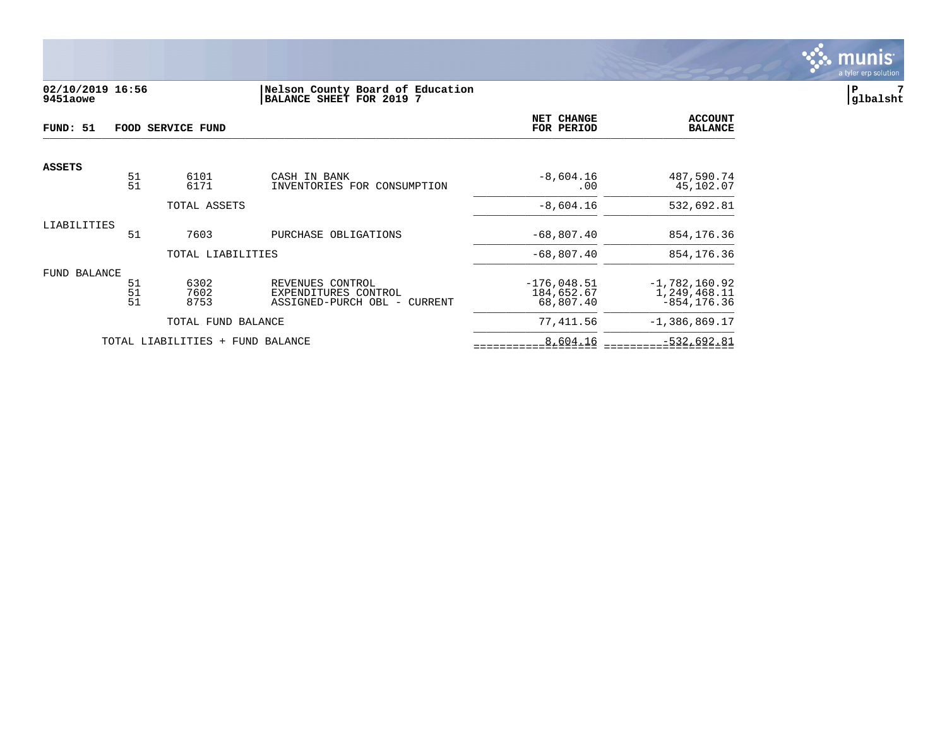

# **02/10/2019 16:56 |Nelson County Board of Education |P 7 9451aowe |BALANCE SHEET FOR 2019 7 |glbalsht**

| FUND: 51      |                | FOOD SERVICE FUND                |                                                                          | NET CHANGE<br>FOR PERIOD                 | <b>ACCOUNT</b><br><b>BALANCE</b>                   |
|---------------|----------------|----------------------------------|--------------------------------------------------------------------------|------------------------------------------|----------------------------------------------------|
| <b>ASSETS</b> |                |                                  |                                                                          |                                          |                                                    |
|               | 51<br>51       | 6101<br>6171                     | CASH IN BANK<br>INVENTORIES FOR CONSUMPTION                              | $-8,604.16$<br>.00                       | 487,590.74<br>45,102.07                            |
|               |                | TOTAL ASSETS                     |                                                                          | $-8,604.16$                              | 532,692.81                                         |
| LIABILITIES   | 51             | 7603                             | PURCHASE OBLIGATIONS                                                     | $-68,807.40$                             | 854, 176. 36                                       |
|               |                | TOTAL LIABILITIES                |                                                                          | $-68,807.40$                             | 854, 176. 36                                       |
| FUND BALANCE  | 51<br>51<br>51 | 6302<br>7602<br>8753             | REVENUES CONTROL<br>EXPENDITURES CONTROL<br>ASSIGNED-PURCH OBL - CURRENT | $-176,048.51$<br>184,652.67<br>68,807.40 | $-1,782,160.92$<br>1,249,468.11<br>$-854, 176, 36$ |
|               |                | TOTAL FUND BALANCE               |                                                                          | 77,411.56                                | $-1,386,869.17$                                    |
|               |                | TOTAL LIABILITIES + FUND BALANCE |                                                                          | 8,604.16                                 | $-532,692.81$                                      |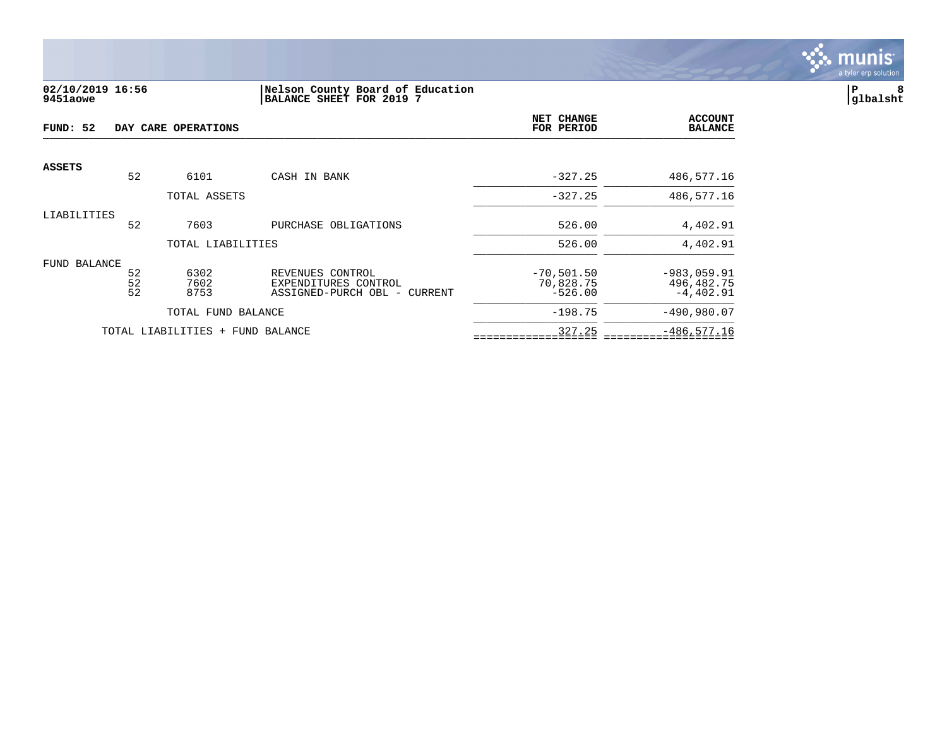

### **02/10/2019 16:56 |Nelson County Board of Education |P 8 9451aowe |BALANCE SHEET FOR 2019 7 |glbalsht**

| FUND: 52      | DAY CARE OPERATIONS |                                  |                                                                          |                                        | <b>ACCOUNT</b><br><b>BALANCE</b>           |
|---------------|---------------------|----------------------------------|--------------------------------------------------------------------------|----------------------------------------|--------------------------------------------|
| <b>ASSETS</b> | 52                  | 6101                             | CASH IN BANK                                                             | $-327.25$                              | 486,577.16                                 |
|               |                     | TOTAL ASSETS                     |                                                                          | $-327.25$                              | 486,577.16                                 |
| LIABILITIES   | 52                  | 7603                             | PURCHASE OBLIGATIONS                                                     | 526.00                                 | 4,402.91                                   |
|               |                     | TOTAL LIABILITIES                |                                                                          | 526.00                                 | 4,402.91                                   |
| FUND BALANCE  | 52<br>52<br>52      | 6302<br>7602<br>8753             | REVENUES CONTROL<br>EXPENDITURES CONTROL<br>ASSIGNED-PURCH OBL - CURRENT | $-70,501.50$<br>70,828.75<br>$-526.00$ | $-983,059.91$<br>496,482.75<br>$-4,402.91$ |
|               |                     | TOTAL FUND BALANCE               |                                                                          | $-198.75$                              | $-490,980.07$                              |
|               |                     | TOTAL LIABILITIES + FUND BALANCE |                                                                          | 327.25                                 | $-486, 577.16$                             |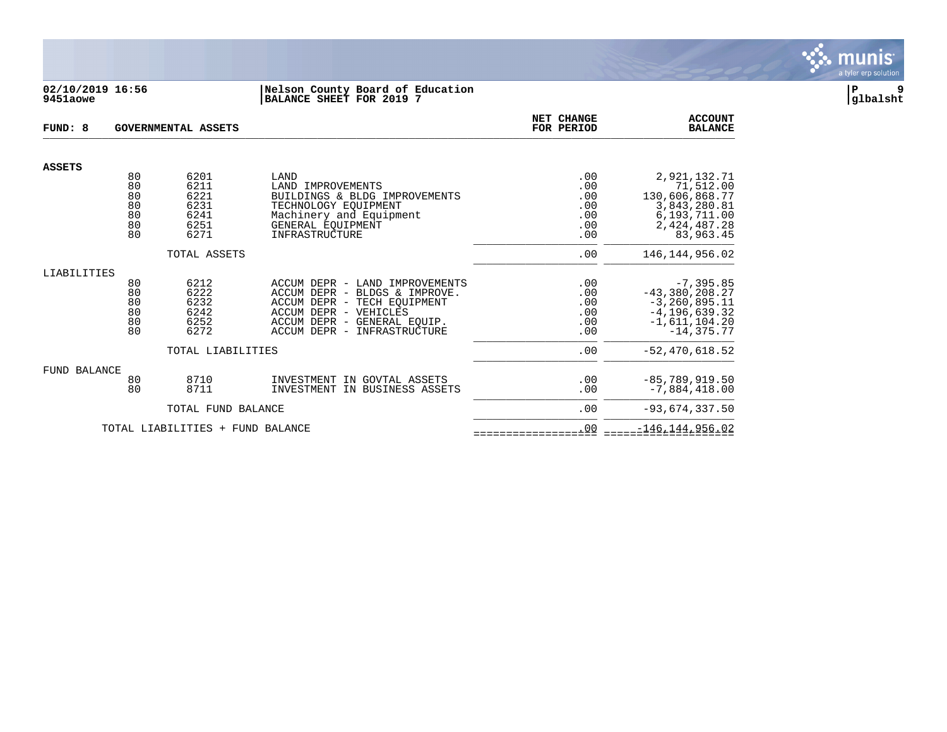

#### **02/10/2019 16:56 |Nelson County Board of Education |P 9 9451aowe |BALANCE SHEET FOR 2019 7 |glbalsht**

| FUND: 8             |                                        | <b>GOVERNMENTAL ASSETS</b>                           |                                                                                                                                                                                       | NET CHANGE<br>FOR PERIOD                      | <b>ACCOUNT</b><br><b>BALANCE</b>                                                                               |
|---------------------|----------------------------------------|------------------------------------------------------|---------------------------------------------------------------------------------------------------------------------------------------------------------------------------------------|-----------------------------------------------|----------------------------------------------------------------------------------------------------------------|
| <b>ASSETS</b>       |                                        |                                                      |                                                                                                                                                                                       |                                               |                                                                                                                |
|                     | 80<br>80<br>80<br>80<br>80<br>80<br>80 | 6201<br>6211<br>6221<br>6231<br>6241<br>6251<br>6271 | LAND<br>LAND IMPROVEMENTS<br>BUILDINGS & BLDG IMPROVEMENTS<br>TECHNOLOGY EQUIPMENT<br>Machinery and Equipment<br>GENERAL EQUIPMENT<br><b>INFRASTRUCTURE</b>                           | .00<br>.00<br>.00<br>.00<br>.00<br>.00<br>.00 | 2,921,132.71<br>71,512.00<br>130,606,868.77<br>3,843,280.81<br>6,193,711.00<br>2,424,487.28<br>83,963.45       |
|                     |                                        | TOTAL ASSETS                                         |                                                                                                                                                                                       | .00                                           | 146, 144, 956.02                                                                                               |
| LIABILITIES         | 80<br>80<br>80<br>80<br>80<br>80       | 6212<br>6222<br>6232<br>6242<br>6252<br>6272         | ACCUM DEPR - LAND IMPROVEMENTS<br>ACCUM DEPR - BLDGS & IMPROVE.<br>ACCUM DEPR - TECH EQUIPMENT<br>ACCUM DEPR - VEHICLES<br>ACCUM DEPR - GENERAL EQUIP.<br>ACCUM DEPR - INFRASTRUCTURE | .00<br>.00<br>.00<br>.00<br>.00<br>.00        | $-7, 395.85$<br>$-43,380,208.27$<br>$-3, 260, 895.11$<br>$-4, 196, 639.32$<br>$-1,611,104.20$<br>$-14, 375.77$ |
| <b>FUND BALANCE</b> |                                        | TOTAL LIABILITIES                                    |                                                                                                                                                                                       | .00                                           | $-52, 470, 618.52$                                                                                             |
|                     | 80<br>80                               | 8710<br>8711                                         | INVESTMENT<br>IN GOVTAL ASSETS<br>INVESTMENT<br>IN BUSINESS ASSETS                                                                                                                    | .00<br>.00                                    | $-85,789,919.50$<br>$-7,884,418.00$                                                                            |
|                     |                                        | TOTAL FUND BALANCE                                   |                                                                                                                                                                                       | .00                                           | $-93,674,337.50$                                                                                               |
|                     |                                        | TOTAL LIABILITIES + FUND BALANCE                     |                                                                                                                                                                                       | .00                                           | $-146, 144, 956.02$                                                                                            |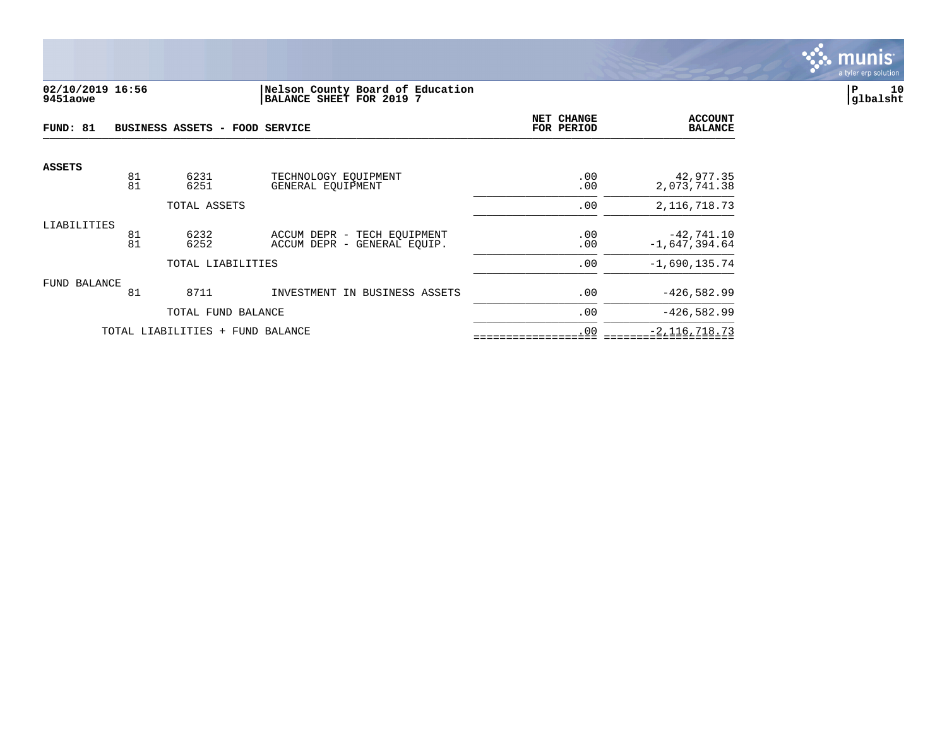

# **02/10/2019 16:56 |Nelson County Board of Education |P 10 9451aowe |BALANCE SHEET FOR 2019 7 |glbalsht**

| FUND: 81      |          | BUSINESS ASSETS - FOOD SERVICE |                                                            | NET CHANGE<br>FOR PERIOD | <b>ACCOUNT</b><br><b>BALANCE</b> |
|---------------|----------|--------------------------------|------------------------------------------------------------|--------------------------|----------------------------------|
| <b>ASSETS</b> | 81       | 6231                           | TECHNOLOGY EOUIPMENT                                       | .00                      | 42,977.35                        |
|               | 81       | 6251                           | GENERAL EOUIPMENT                                          | .00                      | 2,073,741.38                     |
|               |          | TOTAL ASSETS                   |                                                            | .00                      | 2, 116, 718. 73                  |
| LIABILITIES   | 81<br>81 | 6232<br>6252                   | ACCUM DEPR - TECH EQUIPMENT<br>ACCUM DEPR - GENERAL EQUIP. | .00<br>.00               | $-42,741.10$<br>$-1,647,394.64$  |
|               |          | TOTAL LIABILITIES              |                                                            | .00                      | $-1,690,135.74$                  |
| FUND BALANCE  |          |                                |                                                            |                          |                                  |
|               | 81       | 8711                           | INVESTMENT IN BUSINESS ASSETS                              | .00                      | $-426, 582.99$                   |
|               |          | TOTAL FUND BALANCE             |                                                            | .00                      | $-426,582.99$                    |
|               |          | TOTAL LIABILITIES<br>$+$       | FUND BALANCE                                               | .00                      | $-2,116,718.73$                  |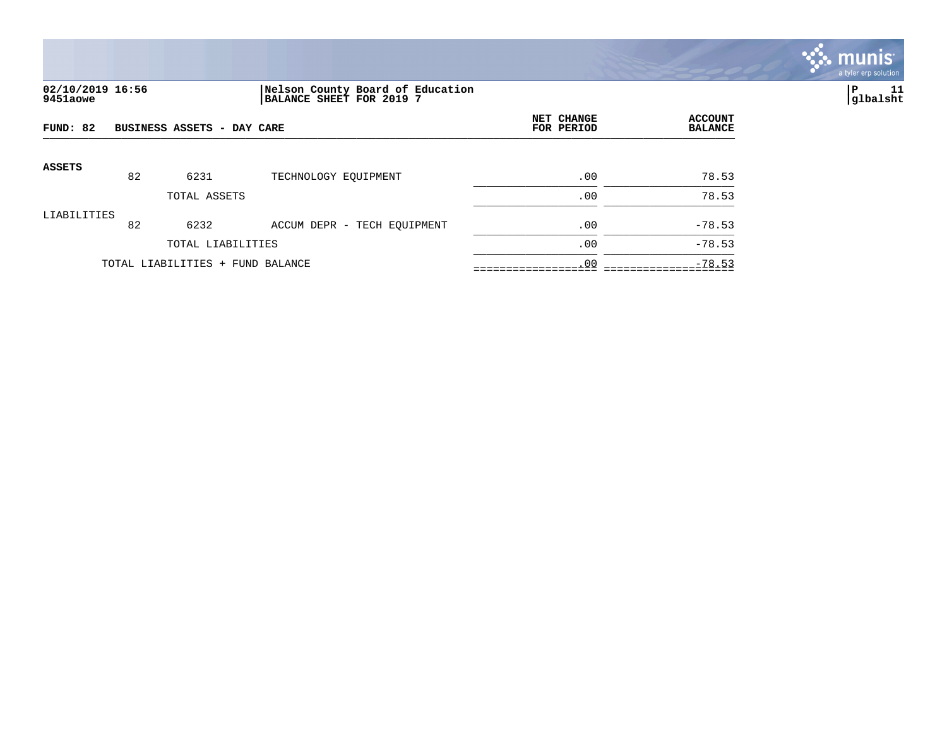

# **02/10/2019 16:56 |Nelson County Board of Education |P 11 9451aowe |BALANCE SHEET FOR 2019 7 |glbalsht**

| FUND: 82      |    | BUSINESS ASSETS - DAY CARE       | NET CHANGE<br>FOR PERIOD    | <b>ACCOUNT</b><br><b>BALANCE</b> |                |
|---------------|----|----------------------------------|-----------------------------|----------------------------------|----------------|
| <b>ASSETS</b> | 82 | 6231                             |                             | .00                              |                |
|               |    | TOTAL ASSETS                     | TECHNOLOGY EQUIPMENT        | .00                              | 78.53<br>78.53 |
| LIABILITIES   |    |                                  |                             |                                  |                |
|               | 82 | 6232                             | ACCUM DEPR - TECH EQUIPMENT | .00                              | $-78.53$       |
|               |    | TOTAL LIABILITIES                |                             | .00                              | $-78.53$       |
|               |    | TOTAL LIABILITIES + FUND BALANCE |                             | .00                              | $-78.53$       |